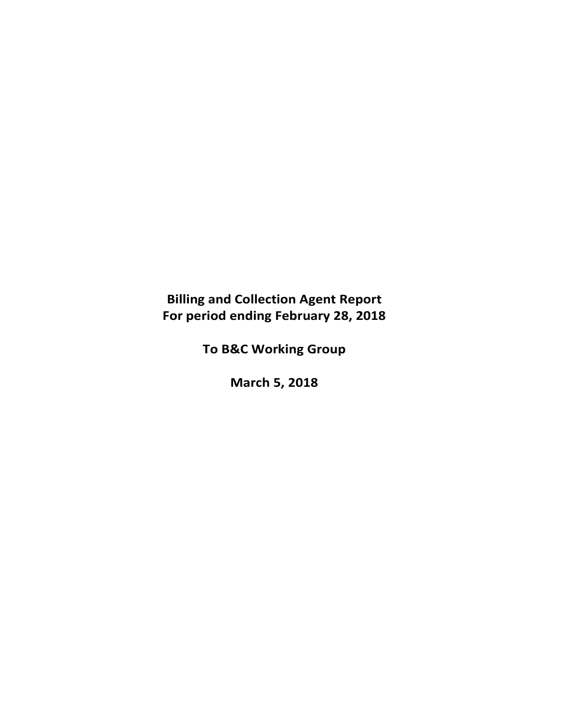# **Billing and Collection Agent Report For period ending February 28, 2018**

**To B&C Working Group**

**March 5, 2018**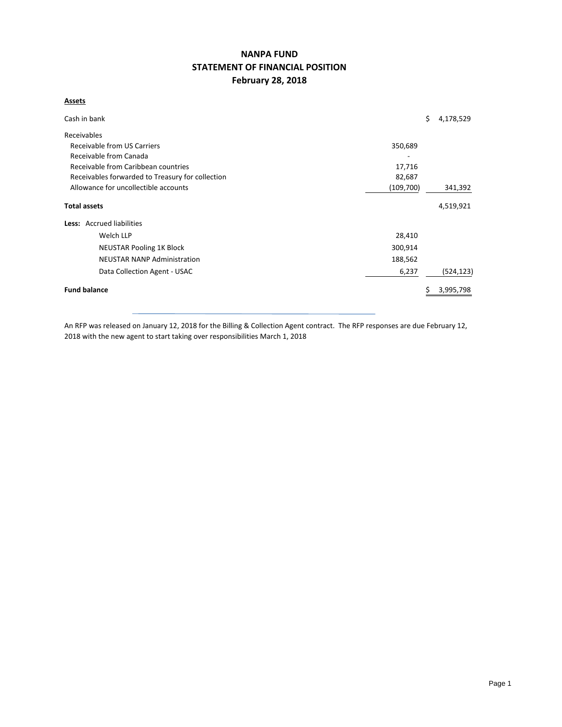# **NANPA FUND STATEMENT OF FINANCIAL POSITION February 28, 2018**

#### **Assets**

| Cash in bank                                      |         | \$ | 4,178,529  |  |  |  |  |  |  |
|---------------------------------------------------|---------|----|------------|--|--|--|--|--|--|
| Receivables                                       |         |    |            |  |  |  |  |  |  |
| Receivable from US Carriers<br>350,689            |         |    |            |  |  |  |  |  |  |
| Receivable from Canada                            |         |    |            |  |  |  |  |  |  |
| Receivable from Caribbean countries<br>17,716     |         |    |            |  |  |  |  |  |  |
| Receivables forwarded to Treasury for collection  | 82,687  |    |            |  |  |  |  |  |  |
| Allowance for uncollectible accounts<br>(109,700) |         |    |            |  |  |  |  |  |  |
| <b>Total assets</b>                               |         |    | 4,519,921  |  |  |  |  |  |  |
| Less: Accrued liabilities                         |         |    |            |  |  |  |  |  |  |
| Welch LLP                                         | 28,410  |    |            |  |  |  |  |  |  |
| <b>NEUSTAR Pooling 1K Block</b>                   | 300,914 |    |            |  |  |  |  |  |  |
| <b>NEUSTAR NANP Administration</b>                | 188,562 |    |            |  |  |  |  |  |  |
| Data Collection Agent - USAC                      | 6,237   |    | (524, 123) |  |  |  |  |  |  |
| <b>Fund balance</b>                               |         |    | 3,995,798  |  |  |  |  |  |  |

An RFP was released on January 12, 2018 for the Billing & Collection Agent contract. The RFP responses are due February 12, 2018 with the new agent to start taking over responsibilities March 1, 2018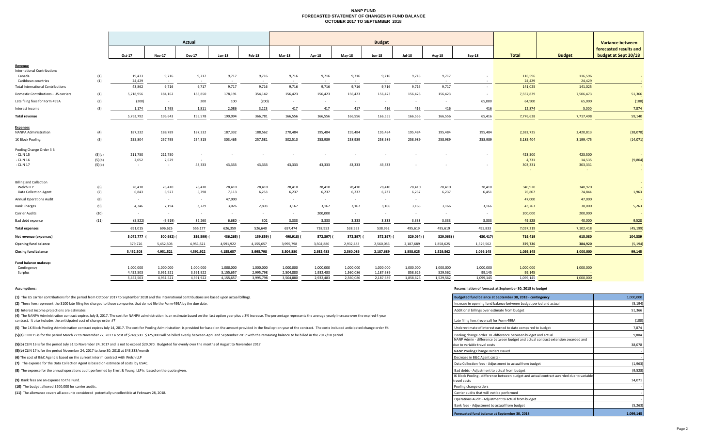#### **NANP FUND FORECASTED STATEMENT OF CHANGES IN FUND BALANCE OCTOBER 2017 TO SEPTEMBER 2018**

|                                              |                  | Actual          |                 |                  |            |            |               | <b>Budget</b> |               |               |               |               |           |                               |                   |                                                                           |  |
|----------------------------------------------|------------------|-----------------|-----------------|------------------|------------|------------|---------------|---------------|---------------|---------------|---------------|---------------|-----------|-------------------------------|-------------------|---------------------------------------------------------------------------|--|
|                                              |                  | Oct-17          | <b>Nov-17</b>   | <b>Dec-17</b>    | Jan-18     | Feb-18     | <b>Mar-18</b> | <b>Apr-18</b> | <b>May-18</b> | <b>Jun-18</b> | <b>Jul-18</b> | <b>Aug-18</b> | Sep-18    | <b>Total</b><br><b>Budget</b> |                   | <b>Variance between</b><br>forecasted results and<br>budget at Sept 30/18 |  |
|                                              |                  |                 |                 |                  |            |            |               |               |               |               |               |               |           |                               |                   |                                                                           |  |
| <u>Revenue</u>                               |                  |                 |                 |                  |            |            |               |               |               |               |               |               |           |                               |                   |                                                                           |  |
| <b>International Contributions</b><br>Canada | (1)              | 19,433          | 9,716           | 9,717            | 9,717      | 9,716      | 9,716         | 9,716         | 9,716         | 9,716         | 9,716         | 9,717         |           | 116,596                       | 116,596           | $\sim$                                                                    |  |
| Caribbean countries                          | (1)              | 24,429          | $\sim$          | $\sim$           |            | $\sim$     | $\sim$        | $\sim$        | $\sim 100$    | $\sim$        |               |               |           | 24,429                        | 24,429            |                                                                           |  |
| <b>Total International Contributions</b>     |                  | 43,862          | 9,716           | 9,717            | 9,717      | 9,716      | 9,716         | 9,716         | 9,716         | 9,716         | 9,716         | 9,717         | $\sim$    | 141,025                       | 141,025           |                                                                           |  |
| Domestic Contributions - US carriers         | (1)              | 5,718,956       | 184,162         | 183,850          | 178,191    | 354,142    | 156,423       | 156,423       | 156,423       | 156,423       | 156,423       | 156,423       | $\sim$    | 7,557,839                     | 7,506,473         | 51,366                                                                    |  |
| Late filing fees for Form 499A               | (2)              | (200)           | $\sim$          | 200              | 100        | (200)      | $\sim$        | $\sim$        | $\sim$        | $\sim$        | $\sim$        | $\sim$        | 65,000    | 64,900                        | 65,000            | (100)                                                                     |  |
| Interest income                              | (3)              | 1,174           | 1,765           | 1,811            | 2,086      | 3,123      | 417           | 417           | 417           | 416           | 416           | 416           | 416       | 12,874                        | 5,000             | 7,874                                                                     |  |
| <b>Total revenue</b>                         |                  | 5,763,792       | 195,643         | 195,578          | 190,094    | 366,781    | 166,556       | 166,556       | 166,556       | 166,555       | 166,555       | 166,556       | 65,416    | 7,776,638                     | 7,717,498         | 59,140                                                                    |  |
| <b>Expenses</b>                              |                  |                 |                 |                  |            |            |               |               |               |               |               |               |           |                               |                   |                                                                           |  |
| NANPA Administration                         | (4)              | 187,332         | 188,789         | 187,332          | 187,332    | 188,562    | 270,484       | 195,484       | 195,484       | 195,484       | 195,484       | 195,484       | 195,484   | 2,382,735                     | 2,420,813         | (38,078)                                                                  |  |
| 1K Block Pooling                             | (5)              | 255,804         | 257,795         | 254,315          | 303,465    | 257,581    | 302,510       | 258,989       | 258,989       | 258,989       | 258,989       | 258,989       | 258,989   | 3,185,404                     | 3,199,475         | (14,071)                                                                  |  |
| Pooling Change Order 3 B                     |                  |                 |                 |                  |            |            |               |               |               |               |               |               |           |                               |                   |                                                                           |  |
| - CLIN 15                                    | (5)(a)           | 211,750         | 211,750         | $\sim$           |            |            |               |               |               |               |               |               |           | 423,500                       | 423,500           |                                                                           |  |
| - CLIN 16<br>- CLIN 17                       | (5)(b)<br>(5)(b) | 2,052<br>$\sim$ | 2,679<br>$\sim$ | $\sim$<br>43,333 | 43,333     | 43,333     | 43,333        | 43,333        | 43,333        | 43,333        |               |               |           | 4,731<br>303,331              | 14,535<br>303,331 | (9,804)                                                                   |  |
|                                              |                  |                 |                 |                  |            |            |               |               |               |               |               |               |           |                               |                   | $\sim$                                                                    |  |
| <b>Billing and Collection</b>                |                  |                 |                 |                  |            |            |               |               |               |               |               |               |           |                               |                   | $\sim$                                                                    |  |
| Welch LLP                                    | (6)              | 28,410          | 28,410          | 28,410           | 28,410     | 28,410     | 28,410        | 28,410        | 28,410        | 28,410        | 28,410        | 28,410        | 28,410    | 340,920                       | 340,920           |                                                                           |  |
| <b>Data Collection Agent</b>                 | (7)              | 6,843           | 6,927           | 5,798            | 7,113      | 6,253      | 6,237         | 6,237         | 6,237         | 6,237         | 6,237         | 6,237         | 6,451     | 76,807                        | 74,844            | 1,963                                                                     |  |
| <b>Annual Operations Audit</b>               | (8)              | $\sim$ $-$      | $\sim$ $-$      | $\sim$           | 47,000     | $\sim$ $-$ | $\sim$        | $\sim$        | $\sim$        | $\sim$        | $\sim$        |               |           | 47,000                        | 47,000            |                                                                           |  |
| <b>Bank Charges</b>                          | (9)              | 4,346           | 7,194           | 3,729            | 3,026      | 2,803      | 3,167         | 3,167         | 3,167         | 3,166         | 3,166         | 3,166         | 3,166     | 43,263                        | 38,000            | 5,263                                                                     |  |
| Carrier Audits                               | (10)             | $\sim$          | $\sim 100$      | $\sim$           | $\sim$     | $\sim$     | $\sim$        | 200,000       | $\sim$        | $\sim$        | $\sim$        | $\sim$        |           | 200,000                       | 200,000           |                                                                           |  |
| Bad debt expense                             | (11)             | (5, 522)        | (6,919)         | 32,260           | 6,680      | 302        | 3,333         | 3,333         | 3,333         | 3,333         | 3,333         | 3,333         | 3,333     | 49,528                        | 40,000            | 9,528                                                                     |  |
| <b>Total expenses</b>                        |                  | 691,015         | 696,625         | 555,177          | 626,359    | 526,640    | 657,474       | 738,953       | 538,953       | 538,952       | 495,619       | 495,619       | 495,833   | 7,057,219                     | 7,102,418         | (45, 199)                                                                 |  |
| Net revenue (expenses)                       |                  | 5,072,777       | 500,982)        | 359,599)         | 436,265) ( | 159,859)   | 490,918)      | 572,397) (    | 372,397) (    | 372,397) (    | 329,064)      | 329,063) (    | 430,417)  | 719,419                       | 615,080           | 104,339                                                                   |  |
| <b>Opening fund balance</b>                  |                  | 379,726         | 5,452,503       | 4,951,521        | 4,591,922  | 4,155,657  | 3,995,798     | 3,504,880     | 2,932,483     | 2,560,086     | 2,187,689     | 1,858,625     | 1,529,562 | 379,726                       | 384,920           | (5, 194)                                                                  |  |
| <b>Closing fund balance</b>                  |                  | 5,452,503       | 4,951,521       | 4,591,922        | 4,155,657  | 3,995,798  | 3,504,880     | 2,932,483     | 2,560,086     | 2,187,689     | 1,858,625     | 1,529,562     | 1,099,145 | 1,099,145                     | 1,000,000         | 99,145                                                                    |  |
| Fund balance makeup:                         |                  |                 |                 |                  |            |            |               |               |               |               |               |               |           |                               |                   |                                                                           |  |
| Contingency                                  |                  | 1.000.000       | 1.000.000       | 1.000.000        | 1.000.000  | 1.000.000  | 1.000.000     | 1.000.000     | 1.000.000     | 1.000.000     | 1.000.000     | 1.000.000     | 1,000,000 | 1,000,000                     | 1,000,000         |                                                                           |  |

5,452,503 4,951,521 4,591,922 4,155,657 3,995,798 3,504,880 2,932,483 2,560,086 2,187,689 1,858,625 1,529,562 1,099,145 1,099,145 1,000,000

Surplus 4,452,503 3,951,521 3,591,922 3,155,657 2,995,798 2,504,880 1,932,483 1,560,086 1,187,689 858,625 529,562 99,145 99,145 ‐

**(1)** The US carrier contributions for the period from October 2017 to September 2018 and the International contributions are based upon actual billings.

(2) These fees represent the \$100 late filing fee charged to those companies that do not file the Form 499A by the due date.

**(3)** Interest income projections are estimates

(4) The NANPA Administration contract expires July 8, 2017. The cost for NANPA administration is an estimate based on the last option year plus a 3% increase. The percentage represents the average yearly increase over the contract. It also includes the anticipated cost of change order #7 Late filing fees (reversal) for Form 499A

(5) The 1K Block Pooling Administration contract expires July 14, 2017. The cost for Pooling Administration is provided for based on the amount provided in the final option year of the contract. The costs included anticipa

(5)(a) CLIN 15 is for the period March 22 to November 22, 2017 a cost of \$748,500. \$325,000 will be billed evenly between April and September 2017 with the remaining balance to be billed in the 2017/18 period.

(5)(b) CLIN 16 is for the period July 31 to November 24, 2017 and is not to exceed \$29,070. Budgeted for evenly over the months of August to November 2017

**(5)(b)** CLIN 17 is for the period November 24, 2017 to June 30, 2018 at \$43,333/month

**(6)** The cost of B&C Agent is based on the current interim contract with Welch LLP

(7) The expense for the Data Collection Agent is based on estimate of costs by USAC.

**(8)** The expense for the annual operations audit performed by Ernst & Young LLP is based on the quote given.

**(9)** Bank fees are an expense to the Fund.

**(10)** The budget allowed \$200,000 for carrier audits.

**(11)** The allowance covers all accounts considered potentially uncollectible at February 28, 2018.

#### **Assumptions: Reconciliation of forecast at September 30, 2018 to budget**

| Budgeted fund balance at September 30, 2018 - contingency                                                        | 1,000,000 |
|------------------------------------------------------------------------------------------------------------------|-----------|
| Increase in opening fund balance between budget period and actual                                                | (5, 194)  |
| Additional billings over estimate from budget                                                                    | 51,366    |
| Late filing fees (reversal) for Form 499A                                                                        | (100)     |
| Underestimate of interest earned to date compared to budget                                                      | 7,874     |
| Pooling change order 3B -difference between budget and actual                                                    | 9,804     |
| NANP Admin - difference between budget and actual contract extension awarded and<br>due to variable travel costs | 38.078    |
| NANP Pooling Change Orders Issued                                                                                |           |
| Decrease in B&C Agent costs -                                                                                    |           |
| Data Collection fees - Adjustment to actual from budget                                                          | (1,963)   |
| Bad debts - Adjustment to actual from budget                                                                     | (9,528)   |
| IK Block Pooling - difference between budget and actual contract awarded due to variable<br>travel costs         | 14,071    |
| Pooling change orders                                                                                            |           |
| Carrier audits that will not be performed                                                                        |           |
| Operations Audit - Adjustment to actual from budget                                                              |           |
| Bank fees - Adjustment to actual from budget                                                                     | (5,263)   |
| Forecasted fund balance at September 30, 2018                                                                    | 1,099,145 |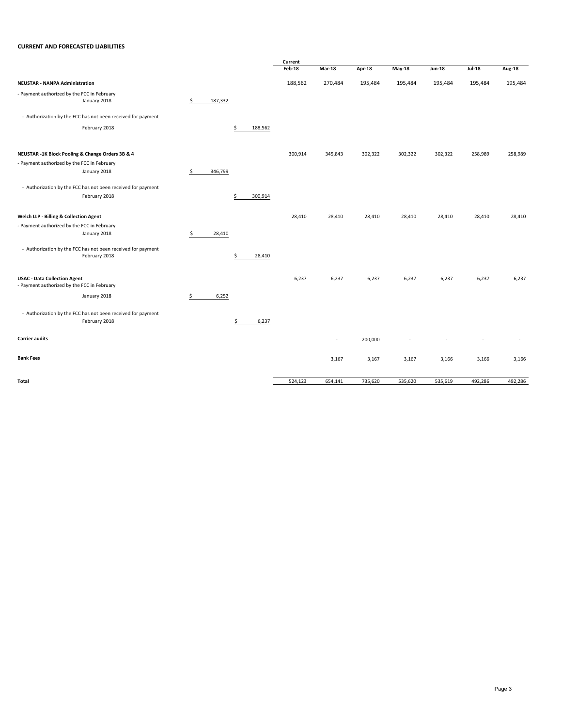#### **CURRENT AND FORECASTED LIABILITIES**

|                                                                                    |               |               | Current       |                          |         |          |         |         |               |
|------------------------------------------------------------------------------------|---------------|---------------|---------------|--------------------------|---------|----------|---------|---------|---------------|
|                                                                                    |               |               | <b>Feb-18</b> | <b>Mar-18</b>            | Apr-18  | $May-18$ | Jun-18  | Jul-18  | <b>Aug-18</b> |
| <b>NEUSTAR - NANPA Administration</b>                                              |               |               | 188,562       | 270,484                  | 195,484 | 195,484  | 195,484 | 195,484 | 195,484       |
| - Payment authorized by the FCC in February<br>January 2018                        | \$<br>187,332 |               |               |                          |         |          |         |         |               |
| - Authorization by the FCC has not been received for payment                       |               |               |               |                          |         |          |         |         |               |
| February 2018                                                                      |               | \$<br>188,562 |               |                          |         |          |         |         |               |
| NEUSTAR -1K Block Pooling & Change Orders 3B & 4                                   |               |               | 300,914       | 345,843                  | 302,322 | 302,322  | 302,322 | 258,989 | 258,989       |
| - Payment authorized by the FCC in February<br>January 2018                        | \$<br>346,799 |               |               |                          |         |          |         |         |               |
| - Authorization by the FCC has not been received for payment                       |               |               |               |                          |         |          |         |         |               |
| February 2018                                                                      |               | \$<br>300,914 |               |                          |         |          |         |         |               |
| Welch LLP - Billing & Collection Agent                                             |               |               | 28,410        | 28,410                   | 28,410  | 28,410   | 28,410  | 28,410  | 28,410        |
| - Payment authorized by the FCC in February<br>January 2018                        | \$<br>28,410  |               |               |                          |         |          |         |         |               |
|                                                                                    |               |               |               |                          |         |          |         |         |               |
| - Authorization by the FCC has not been received for payment<br>February 2018      |               | \$<br>28,410  |               |                          |         |          |         |         |               |
| <b>USAC - Data Collection Agent</b><br>- Payment authorized by the FCC in February |               |               | 6,237         | 6,237                    | 6,237   | 6,237    | 6,237   | 6,237   | 6,237         |
| January 2018                                                                       | \$<br>6,252   |               |               |                          |         |          |         |         |               |
| - Authorization by the FCC has not been received for payment<br>February 2018      |               | 6,237<br>\$   |               |                          |         |          |         |         |               |
| <b>Carrier audits</b>                                                              |               |               |               | $\overline{\phantom{a}}$ | 200,000 |          |         |         |               |
| <b>Bank Fees</b>                                                                   |               |               |               | 3,167                    | 3,167   | 3,167    | 3,166   | 3,166   | 3,166         |
| Total                                                                              |               |               | 524,123       | 654,141                  | 735,620 | 535,620  | 535,619 | 492,286 | 492,286       |
|                                                                                    |               |               |               |                          |         |          |         |         |               |